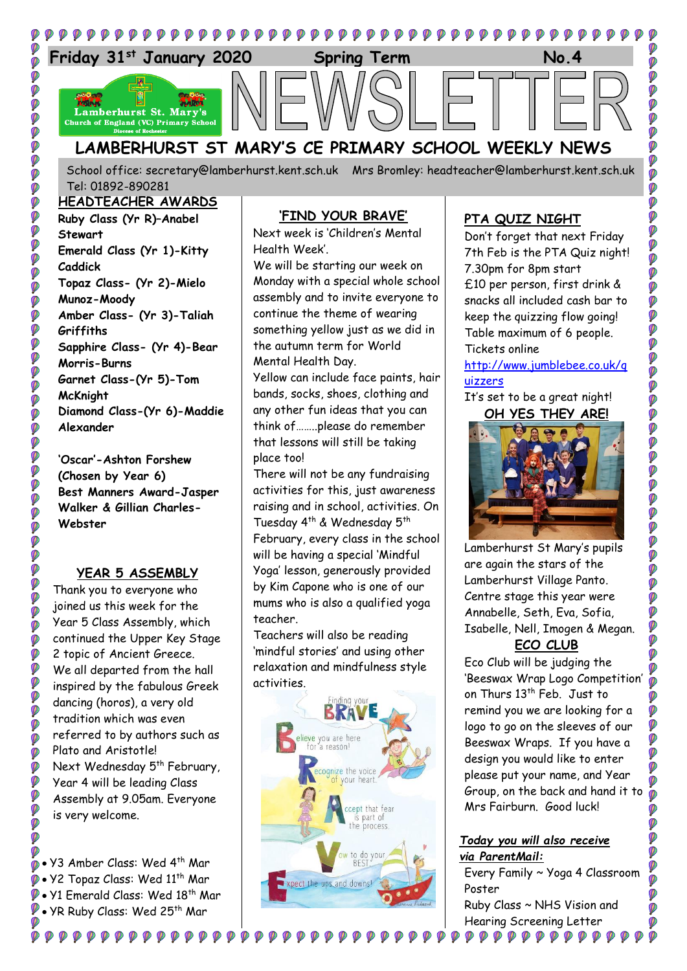

School office: [secretary@lamberhurst.kent.sch.uk](mailto:secretary@lamberhurst.kent.sch.uk) Mrs Bromley: headteacher@lamberhurst.kent.sch.uk Tel: 01892-890281

#### **HEADTEACHER AWARDS**

**Ruby Class (Yr R)–Anabel Stewart Emerald Class (Yr 1)-Kitty Caddick Topaz Class- (Yr 2)-Mielo Munoz-Moody Amber Class- (Yr 3)-Taliah Griffiths Sapphire Class- (Yr 4)-Bear Morris-Burns Garnet Class-(Yr 5)-Tom McKnight Diamond Class-(Yr 6)-Maddie Alexander**

**DOO** 

000

**O** Ø

Ø Ø

Ø **PO** 

**O** Ø  $\ddot{\textbf{v}}$ 

Ø Ø

**DE** 

Ø Ø Ó Ø Ø Ø Ø **DO** 

 $\ddot{\textbf{v}}$ 

Ø Ø

Ø

Ø

Ø

Ø

Ø

**'Oscar'-Ashton Forshew (Chosen by Year 6) Best Manners Award-Jasper Walker & Gillian Charles-Webster**

## **YEAR 5 ASSEMBLY**

Thank you to everyone who joined us this week for the Year 5 Class Assembly, which continued the Upper Key Stage 2 topic of Ancient Greece. We all departed from the hall inspired by the fabulous Greek dancing (horos), a very old tradition which was even referred to by authors such as Plato and Aristotle! Next Wednesday 5<sup>th</sup> February, Year 4 will be leading Class Assembly at 9.05am. Everyone is very welcome.

• Y3 Amber Class: Wed 4th Mar Y2 Topaz Class: Wed 11th Mar Y1 Emerald Class: Wed 18th Mar **P** • YR Ruby Class: Wed 25<sup>th</sup> Mar

**©©©©©©©©©©©** 

## **'FIND YOUR BRAVE'**

Next week is 'Children's Mental Health Week'.

We will be starting our week on Monday with a special whole school assembly and to invite everyone to continue the theme of wearing something yellow just as we did in the autumn term for World Mental Health Day.

Yellow can include face paints, hair bands, socks, shoes, clothing and any other fun ideas that you can think of……..please do remember that lessons will still be taking place too!

There will not be any fundraising activities for this, just awareness raising and in school, activities. On Tuesday 4<sup>th</sup> & Wednesday 5<sup>th</sup> February, every class in the school will be having a special 'Mindful Yoga' lesson, generously provided by Kim Capone who is one of our mums who is also a qualified yoga teacher.

Teachers will also be reading 'mindful stories' and using other relaxation and mindfulness style activities.



 $\mathcal{P} \mathcal{P} \mathcal{P} \mathcal{P}$ 

## **PTA QUIZ NIGHT**

Don't forget that next Friday 7th Feb is the PTA Quiz night! 7.30pm for 8pm start £10 per person, first drink & snacks all included cash bar to keep the quizzing flow going! Table maximum of 6 people. Tickets online

[http://www.jumblebee.co.uk/q](http://www.jumblebee.co.uk/quizzers) [uizzers](http://www.jumblebee.co.uk/quizzers)

## It's set to be a great night! **OH YES THEY ARE!**



Lamberhurst St Mary's pupils are again the stars of the Lamberhurst Village Panto. Centre stage this year were Annabelle, Seth, Eva, Sofia, Isabelle, Nell, Imogen & Megan.

# **ECO CLUB**

Eco Club will be judging the 'Beeswax Wrap Logo Competition' on Thurs 13<sup>th</sup> Feb. Just to remind you we are looking for a logo to go on the sleeves of our Beeswax Wraps. If you have a design you would like to enter please put your name, and Year Group, on the back and hand it to Mrs Fairburn. Good luck!

#### *Today you will also receive via ParentMail:*

Ø

Ø

Every Family ~ Yoga 4 Classroom Poster Ruby Class ~ NHS Vision and Hearing Screening Letter

Ø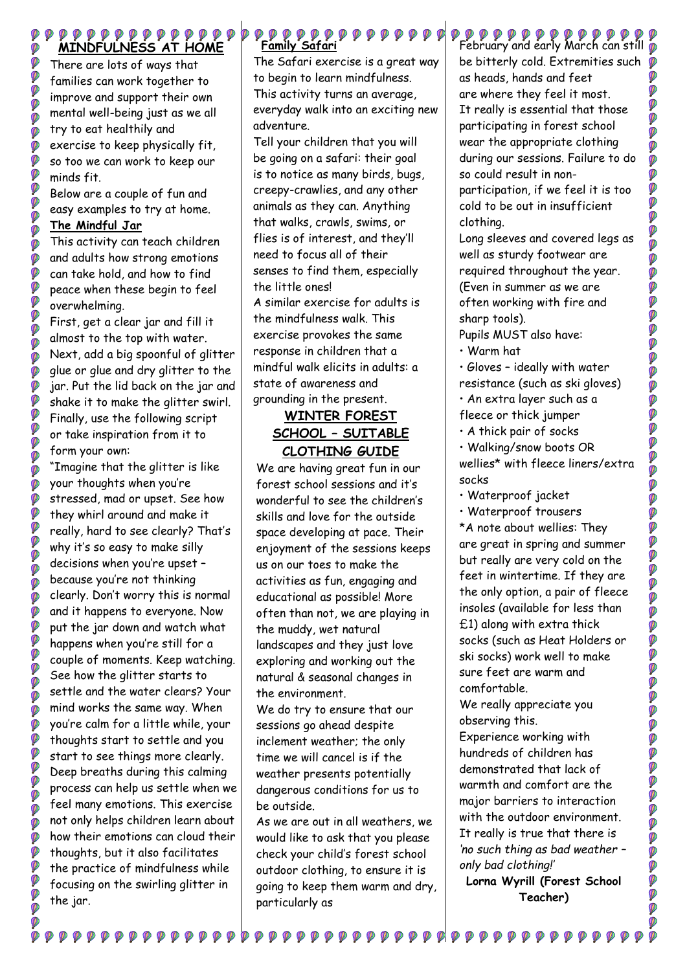#### $\begin{smallmatrix} \bullet\bullet\bullet\bullet\bullet\bullet\bullet\bullet\bullet\bullet\bullet\bullet\bullet\bullet\bullet\bullet\bullet\end{smallmatrix}$ **MINDFULNESS AT HOME**

There are lots of ways that families can work together to improve and support their own mental well-being just as we all try to eat healthily and exercise to keep physically fit, so too we can work to keep our minds fit.

Below are a couple of fun and easy examples to try at home.

#### **The Mindful Jar**

Ø

Ø Ø Ø Ø Ø

Ø Ø Ø

Ø Ø Ø

Ø

Ø Ø

Ø Ø

Ø

Ø

Ø  $\phi$ 

Ø

Ø Ø Ø

Ø Ø Ø

Ø

Ø Ø

Ø

Ø

Ø Ø Ø

Ø

Ø Ø

Ø

Ø Ø  $\ddot{\bullet}$ 

Ø

Ø Ø Ø Ø

Ø Ø

Ø Ø Ø

Ø Ø Ø Ø Ø

Ø

This activity can teach children and adults how strong emotions can take hold, and how to find peace when these begin to feel overwhelming.

First, get a clear jar and fill it almost to the top with water. Next, add a big spoonful of glitter glue or glue and dry glitter to the jar. Put the lid back on the jar and shake it to make the glitter swirl. Finally, use the following script or take inspiration from it to form your own:

"Imagine that the glitter is like your thoughts when you're stressed, mad or upset. See how they whirl around and make it really, hard to see clearly? That's why it's so easy to make silly decisions when you're upset – because you're not thinking clearly. Don't worry this is normal and it happens to everyone. Now put the jar down and watch what happens when you're still for a couple of moments. Keep watching. See how the glitter starts to settle and the water clears? Your mind works the same way. When you're calm for a little while, your thoughts start to settle and you start to see things more clearly. Deep breaths during this calming process can help us settle when we feel many emotions. This exercise not only helps children learn about how their emotions can cloud their thoughts, but it also facilitates the practice of mindfulness while focusing on the swirling glitter in the jar.

 $\begin{smallmatrix} \mathbf{\mathcal{P}} & \mathbf{\mathcal{P}} & \mathbf{\mathcal{P}} & \mathbf{\mathcal{P}} & \mathbf{\mathcal{P}} & \mathbf{\mathcal{P}} & \mathbf{\mathcal{P}} & \mathbf{\mathcal{P}} & \mathbf{\mathcal{P}} & \mathbf{\mathcal{P}} & \mathbf{\mathcal{P}} & \mathbf{\mathcal{P}} & \mathbf{\mathcal{P}} & \mathbf{\mathcal{P}} & \mathbf{\mathcal{P}} & \mathbf{\mathcal{P}} & \mathbf{\mathcal{P}} & \mathbf{\mathcal{P}} & \mathbf{\mathcal{P}} & \mathbf{\mathcal{P}} & \mathbf{\mathcal{P}} & \mathbf{\$ 

# **Family Safari**

The Safari exercise is a great way to begin to learn mindfulness. This activity turns an average, everyday walk into an exciting new adventure.

Tell your children that you will be going on a safari: their goal is to notice as many birds, bugs, creepy-crawlies, and any other animals as they can. Anything that walks, crawls, swims, or flies is of interest, and they'll need to focus all of their senses to find them, especially the little ones!

A similar exercise for adults is the mindfulness walk. This exercise provokes the same response in children that a mindful walk elicits in adults: a state of awareness and grounding in the present.

# **WINTER FOREST SCHOOL – SUITABLE CLOTHING GUIDE**

We are having great fun in our forest school sessions and it's wonderful to see the children's skills and love for the outside space developing at pace. Their enjoyment of the sessions keeps us on our toes to make the activities as fun, engaging and educational as possible! More often than not, we are playing in the muddy, wet natural landscapes and they just love exploring and working out the natural & seasonal changes in the environment.

We do try to ensure that our sessions go ahead despite inclement weather; the only time we will cancel is if the weather presents potentially dangerous conditions for us to be outside.

As we are out in all weathers, we would like to ask that you please check your child's forest school outdoor clothing, to ensure it is going to keep them warm and dry, particularly as

........................

P P P P P P P P P P P P P P P<br>February and early March can still p be bitterly cold. Extremities such as heads, hands and feet are where they feel it most. It really is essential that those participating in forest school wear the appropriate clothing during our sessions. Failure to do so could result in nonparticipation, if we feel it is too cold to be out in insufficient clothing.

Long sleeves and covered legs as well as sturdy footwear are required throughout the year. (Even in summer as we are often working with fire and sharp tools).

Pupils MUST also have:

- Warm hat
- Gloves ideally with water
- resistance (such as ski gloves)
- An extra layer such as a
- fleece or thick jumper
- A thick pair of socks
- Walking/snow boots OR

wellies\* with fleece liners/extra socks

- Waterproof jacket
- Waterproof trousers

\*A note about wellies: They are great in spring and summer but really are very cold on the feet in wintertime. If they are the only option, a pair of fleece insoles (available for less than £1) along with extra thick socks (such as Heat Holders or ski socks) work well to make sure feet are warm and comfortable.

We really appreciate you observing this.

Experience working with hundreds of children has demonstrated that lack of warmth and comfort are the major barriers to interaction with the outdoor environment. It really is true that there is *'no such thing as bad weather – only bad clothing!'*

**Lorna Wyrill (Forest School Teacher)**